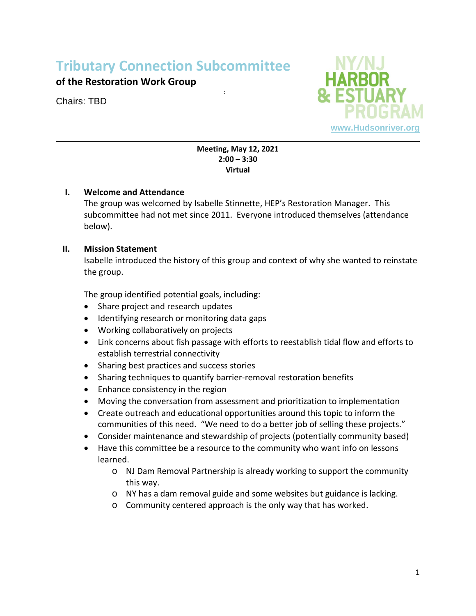# **Tributary Connection Subcommittee**

# **of the Restoration Work Group**

Chairs: TBD



#### **Meeting, May 12, 2021 2:00 – 3:30 Virtual**

:

# **I. Welcome and Attendance**

The group was welcomed by Isabelle Stinnette, HEP's Restoration Manager. This subcommittee had not met since 2011. Everyone introduced themselves (attendance below).

# **II. Mission Statement**

Isabelle introduced the history of this group and context of why she wanted to reinstate the group.

The group identified potential goals, including:

- Share project and research updates
- Identifying research or monitoring data gaps
- Working collaboratively on projects
- Link concerns about fish passage with efforts to reestablish tidal flow and efforts to establish terrestrial connectivity
- Sharing best practices and success stories
- Sharing techniques to quantify barrier-removal restoration benefits
- Enhance consistency in the region
- Moving the conversation from assessment and prioritization to implementation
- Create outreach and educational opportunities around this topic to inform the communities of this need. "We need to do a better job of selling these projects."
- Consider maintenance and stewardship of projects (potentially community based)
- Have this committee be a resource to the community who want info on lessons learned.
	- o NJ Dam Removal Partnership is already working to support the community this way.
	- o NY has a dam removal guide and some websites but guidance is lacking.
	- o Community centered approach is the only way that has worked.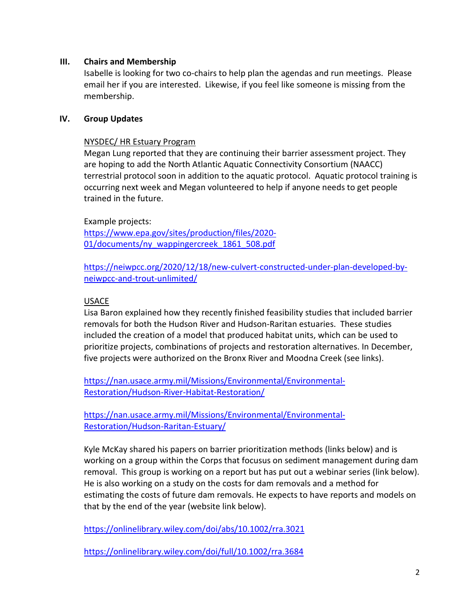#### **III. Chairs and Membership**

Isabelle is looking for two co-chairs to help plan the agendas and run meetings. Please email her if you are interested. Likewise, if you feel like someone is missing from the membership.

#### **IV. Group Updates**

#### NYSDEC/ HR Estuary Program

Megan Lung reported that they are continuing their barrier assessment project. They are hoping to add the North Atlantic Aquatic Connectivity Consortium (NAACC) terrestrial protocol soon in addition to the aquatic protocol. Aquatic protocol training is occurring next week and Megan volunteered to help if anyone needs to get people trained in the future.

Example projects: [https://www.epa.gov/sites/production/files/2020-](https://www.epa.gov/sites/production/files/2020-01/documents/ny_wappingercreek_1861_508.pdf) [01/documents/ny\\_wappingercreek\\_1861\\_508.pdf](https://www.epa.gov/sites/production/files/2020-01/documents/ny_wappingercreek_1861_508.pdf)

[https://neiwpcc.org/2020/12/18/new-culvert-constructed-under-plan-developed-by](https://neiwpcc.org/2020/12/18/new-culvert-constructed-under-plan-developed-by-neiwpcc-and-trout-unlimited/)[neiwpcc-and-trout-unlimited/](https://neiwpcc.org/2020/12/18/new-culvert-constructed-under-plan-developed-by-neiwpcc-and-trout-unlimited/)

#### USACE

Lisa Baron explained how they recently finished feasibility studies that included barrier removals for both the Hudson River and Hudson-Raritan estuaries. These studies included the creation of a model that produced habitat units, which can be used to prioritize projects, combinations of projects and restoration alternatives. In December, five projects were authorized on the Bronx River and Moodna Creek (see links).

[https://nan.usace.army.mil/Missions/Environmental/Environmental-](https://nan.usace.army.mil/Missions/Environmental/Environmental-Restoration/Hudson-River-Habitat-Restoration/)[Restoration/Hudson-River-Habitat-Restoration/](https://nan.usace.army.mil/Missions/Environmental/Environmental-Restoration/Hudson-River-Habitat-Restoration/)

[https://nan.usace.army.mil/Missions/Environmental/Environmental-](https://nan.usace.army.mil/Missions/Environmental/Environmental-Restoration/Hudson-Raritan-Estuary/)[Restoration/Hudson-Raritan-Estuary/](https://nan.usace.army.mil/Missions/Environmental/Environmental-Restoration/Hudson-Raritan-Estuary/)

Kyle McKay shared his papers on barrier prioritization methods (links below) and is working on a group within the Corps that focusus on sediment management during dam removal. This group is working on a report but has put out a webinar series (link below). He is also working on a study on the costs for dam removals and a method for estimating the costs of future dam removals. He expects to have reports and models on that by the end of the year (website link below).

<https://onlinelibrary.wiley.com/doi/abs/10.1002/rra.3021>

<https://onlinelibrary.wiley.com/doi/full/10.1002/rra.3684>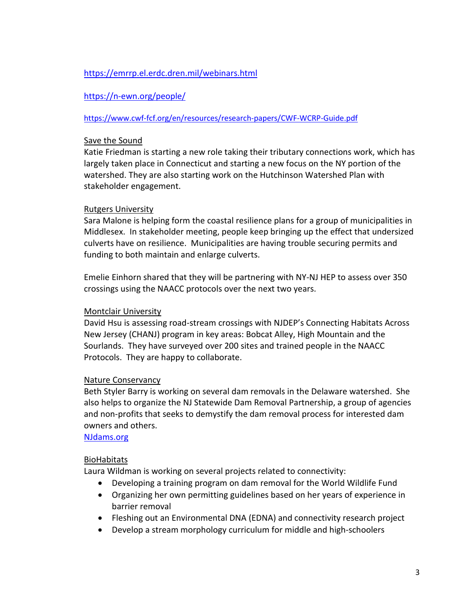# <https://emrrp.el.erdc.dren.mil/webinars.html>

# <https://n-ewn.org/people/>

#### <https://www.cwf-fcf.org/en/resources/research-papers/CWF-WCRP-Guide.pdf>

#### Save the Sound

Katie Friedman is starting a new role taking their tributary connections work, which has largely taken place in Connecticut and starting a new focus on the NY portion of the watershed. They are also starting work on the Hutchinson Watershed Plan with stakeholder engagement.

# Rutgers University

Sara Malone is helping form the coastal resilience plans for a group of municipalities in Middlesex. In stakeholder meeting, people keep bringing up the effect that undersized culverts have on resilience. Municipalities are having trouble securing permits and funding to both maintain and enlarge culverts.

Emelie Einhorn shared that they will be partnering with NY-NJ HEP to assess over 350 crossings using the NAACC protocols over the next two years.

#### Montclair University

David Hsu is assessing road-stream crossings with NJDEP's Connecting Habitats Across New Jersey (CHANJ) program in key areas: Bobcat Alley, High Mountain and the Sourlands. They have surveyed over 200 sites and trained people in the NAACC Protocols. They are happy to collaborate.

# Nature Conservancy

Beth Styler Barry is working on several dam removals in the Delaware watershed. She also helps to organize the NJ Statewide Dam Removal Partnership, a group of agencies and non-profits that seeks to demystify the dam removal process for interested dam owners and others.

[NJdams.org](file://hrf-ny-dc01/files/Users/HEP/Habitat/Tributary%20Connections/2021%20Subcommittee%20Reboot/NJdams.org)

# BioHabitats

Laura Wildman is working on several projects related to connectivity:

- Developing a training program on dam removal for the World Wildlife Fund
- Organizing her own permitting guidelines based on her years of experience in barrier removal
- Fleshing out an Environmental DNA (EDNA) and connectivity research project
- Develop a stream morphology curriculum for middle and high-schoolers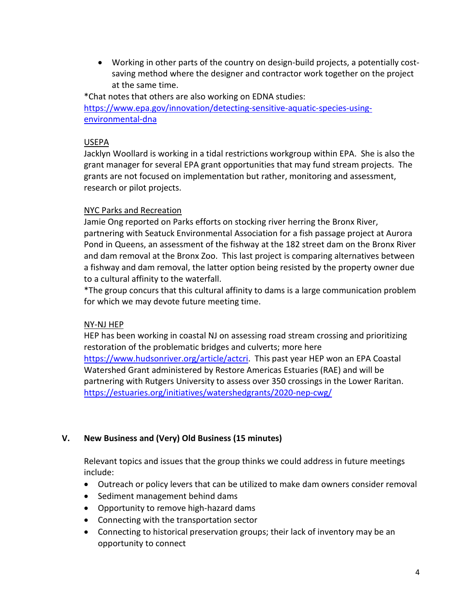• Working in other parts of the country on design-build projects, a potentially costsaving method where the designer and contractor work together on the project at the same time.

\*Chat notes that others are also working on EDNA studies: [https://www.epa.gov/innovation/detecting-sensitive-aquatic-species-using](https://www.epa.gov/innovation/detecting-sensitive-aquatic-species-using-environmental-dna)[environmental-dna](https://www.epa.gov/innovation/detecting-sensitive-aquatic-species-using-environmental-dna)

# USEPA

Jacklyn Woollard is working in a tidal restrictions workgroup within EPA. She is also the grant manager for several EPA grant opportunities that may fund stream projects. The grants are not focused on implementation but rather, monitoring and assessment, research or pilot projects.

#### NYC Parks and Recreation

Jamie Ong reported on Parks efforts on stocking river herring the Bronx River, partnering with Seatuck Environmental Association for a fish passage project at Aurora Pond in Queens, an assessment of the fishway at the 182 street dam on the Bronx River and dam removal at the Bronx Zoo. This last project is comparing alternatives between a fishway and dam removal, the latter option being resisted by the property owner due to a cultural affinity to the waterfall.

\*The group concurs that this cultural affinity to dams is a large communication problem for which we may devote future meeting time.

# NY-NJ HEP

HEP has been working in coastal NJ on assessing road stream crossing and prioritizing restoration of the problematic bridges and culverts; more here [https://www.hudsonriver.org/article/actcri.](https://www.hudsonriver.org/article/actcri) This past year HEP won an EPA Coastal Watershed Grant administered by Restore Americas Estuaries (RAE) and will be partnering with Rutgers University to assess over 350 crossings in the Lower Raritan. <https://estuaries.org/initiatives/watershedgrants/2020-nep-cwg/>

# **V. New Business and (Very) Old Business (15 minutes)**

Relevant topics and issues that the group thinks we could address in future meetings include:

- Outreach or policy levers that can be utilized to make dam owners consider removal
- Sediment management behind dams
- Opportunity to remove high-hazard dams
- Connecting with the transportation sector
- Connecting to historical preservation groups; their lack of inventory may be an opportunity to connect